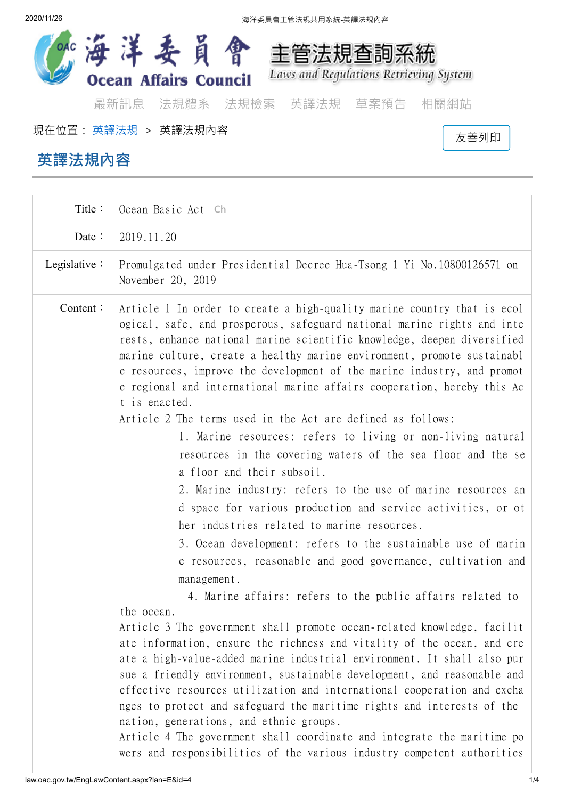

現在位置: [英譯法規](http://law.oac.gov.tw/EngLawQuery.aspx) <sup>&</sup>gt; 英譯法規內容  [友善列印](http://law.oac.gov.tw/EngLawContent.aspx?media=print&lan=E&id=4)

## **英譯法規內容**

| Title:               | Ocean Basic Act Ch                                                                                                                                                                                                                                                                                                                                                                                                                                                                                                                                                                                                                                                                                                                                                                                                                                                                                                                                                                                                                                                                                                                                                                                                                                                                                                                                                                                                                                                                                                                                                                                                                                                                                                                                                                      |
|----------------------|-----------------------------------------------------------------------------------------------------------------------------------------------------------------------------------------------------------------------------------------------------------------------------------------------------------------------------------------------------------------------------------------------------------------------------------------------------------------------------------------------------------------------------------------------------------------------------------------------------------------------------------------------------------------------------------------------------------------------------------------------------------------------------------------------------------------------------------------------------------------------------------------------------------------------------------------------------------------------------------------------------------------------------------------------------------------------------------------------------------------------------------------------------------------------------------------------------------------------------------------------------------------------------------------------------------------------------------------------------------------------------------------------------------------------------------------------------------------------------------------------------------------------------------------------------------------------------------------------------------------------------------------------------------------------------------------------------------------------------------------------------------------------------------------|
| Date $\colon$        | 2019.11.20                                                                                                                                                                                                                                                                                                                                                                                                                                                                                                                                                                                                                                                                                                                                                                                                                                                                                                                                                                                                                                                                                                                                                                                                                                                                                                                                                                                                                                                                                                                                                                                                                                                                                                                                                                              |
| Legislative $\colon$ | Promulgated under Presidential Decree Hua-Tsong 1 Yi No.10800126571 on<br>November 20, 2019                                                                                                                                                                                                                                                                                                                                                                                                                                                                                                                                                                                                                                                                                                                                                                                                                                                                                                                                                                                                                                                                                                                                                                                                                                                                                                                                                                                                                                                                                                                                                                                                                                                                                             |
| Content:             | Article 1 In order to create a high-quality marine country that is ecol<br>ogical, safe, and prosperous, safeguard national marine rights and inte<br>rests, enhance national marine scientific knowledge, deepen diversified<br>marine culture, create a healthy marine environment, promote sustainabl<br>e resources, improve the development of the marine industry, and promot<br>e regional and international marine affairs cooperation, hereby this Ac<br>t is enacted.<br>Article 2 The terms used in the Act are defined as follows:<br>1. Marine resources: refers to living or non-living natural<br>resources in the covering waters of the sea floor and the se<br>a floor and their subsoil.<br>2. Marine industry: refers to the use of marine resources an<br>d space for various production and service activities, or ot<br>her industries related to marine resources.<br>3. Ocean development: refers to the sustainable use of marin<br>e resources, reasonable and good governance, cultivation and<br>management.<br>4. Marine affairs: refers to the public affairs related to<br>the ocean.<br>Article 3 The government shall promote ocean-related knowledge, facilit<br>ate information, ensure the richness and vitality of the ocean, and cre<br>ate a high-value-added marine industrial environment. It shall also pur<br>sue a friendly environment, sustainable development, and reasonable and<br>effective resources utilization and international cooperation and excha<br>nges to protect and safeguard the maritime rights and interests of the<br>nation, generations, and ethnic groups.<br>Article 4 The government shall coordinate and integrate the maritime po<br>wers and responsibilities of the various industry competent authorities |
|                      |                                                                                                                                                                                                                                                                                                                                                                                                                                                                                                                                                                                                                                                                                                                                                                                                                                                                                                                                                                                                                                                                                                                                                                                                                                                                                                                                                                                                                                                                                                                                                                                                                                                                                                                                                                                         |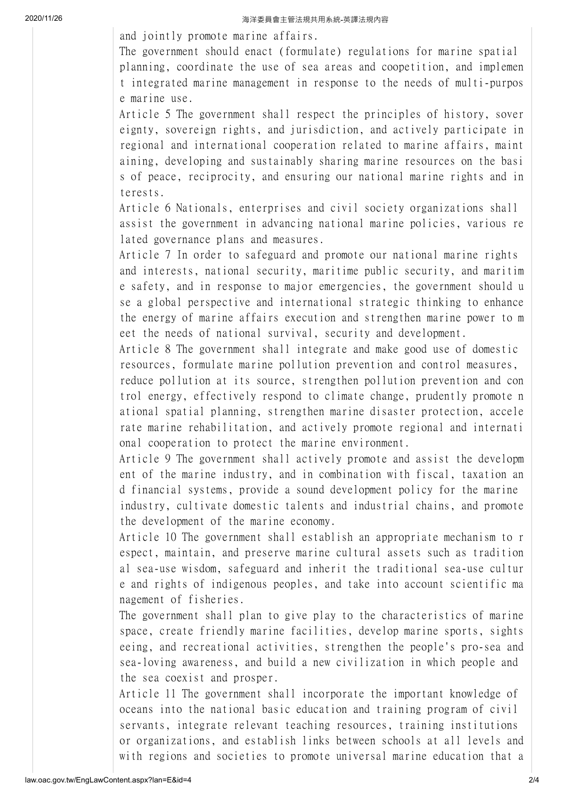2020/11/26 2020/11/26 または またまのは ファインスタンス あきまく 海洋委員會主管法規共用系統-英譯法規内容

and jointly promote marine affairs.

The government should enact (formulate) regulations for marine spatial planning, coordinate the use of sea areas and coopetition, and implemen t integrated marine management in response to the needs of multi-purpos e marine use.

Article 5 The government shall respect the principles of history, sover eignty, sovereign rights, and jurisdiction, and actively participate in regional and international cooperation related to marine affairs, maint aining, developing and sustainably sharing marine resources on the basi s of peace, reciprocity, and ensuring our national marine rights and in terests.

Article 6 Nationals, enterprises and civil society organizations shall assist the government in advancing national marine policies, various re lated governance plans and measures.

Article 7 In order to safeguard and promote our national marine rights and interests, national security, maritime public security, and maritim e safety, and in response to major emergencies, the government should u se a global perspective and international strategic thinking to enhance the energy of marine affairs execution and strengthen marine power to m eet the needs of national survival, security and development.

Article 8 The government shall integrate and make good use of domestic resources, formulate marine pollution prevention and control measures, reduce pollution at its source, strengthen pollution prevention and con trol energy, effectively respond to climate change, prudently promote n ational spatial planning, strengthen marine disaster protection, accele rate marine rehabilitation, and actively promote regional and internati onal cooperation to protect the marine environment.

Article 9 The government shall actively promote and assist the developm ent of the marine industry, and in combination with fiscal, taxation an d financial systems, provide a sound development policy for the marine industry, cultivate domestic talents and industrial chains, and promote the development of the marine economy.

Article 10 The government shall establish an appropriate mechanism to r espect, maintain, and preserve marine cultural assets such as tradition al sea-use wisdom, safeguard and inherit the traditional sea-use cultur e and rights of indigenous peoples, and take into account scientific ma nagement of fisheries.

The government shall plan to give play to the characteristics of marine space, create friendly marine facilities, develop marine sports, sights eeing, and recreational activities, strengthen the people's pro-sea and sea-loving awareness, and build a new civilization in which people and the sea coexist and prosper.

Article 11 The government shall incorporate the important knowledge of oceans into the national basic education and training program of civil servants, integrate relevant teaching resources, training institutions or organizations, and establish links between schools at all levels and with regions and societies to promote universal marine education that a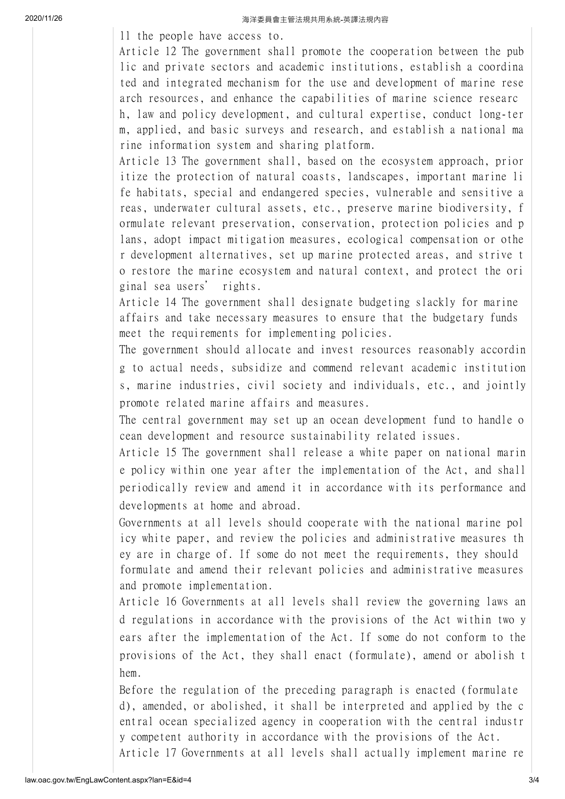2020/11/26 2020/11/26

ll the people have access to.

Article 12 The government shall promote the cooperation between the pub lic and private sectors and academic institutions, establish a coordina ted and integrated mechanism for the use and development of marine rese arch resources, and enhance the capabilities of marine science researc h, law and policy development, and cultural expertise, conduct long-ter m, applied, and basic surveys and research, and establish a national ma rine information system and sharing platform.

Article 13 The government shall, based on the ecosystem approach, prior itize the protection of natural coasts, landscapes, important marine li fe habitats, special and endangered species, vulnerable and sensitive a reas, underwater cultural assets, etc., preserve marine biodiversity, f ormulate relevant preservation, conservation, protection policies and p lans, adopt impact mitigation measures, ecological compensation or othe r development alternatives, set up marine protected areas, and strive t o restore the marine ecosystem and natural context, and protect the ori ginal sea users' rights.

Article 14 The government shall designate budgeting slackly for marine affairs and take necessary measures to ensure that the budgetary funds meet the requirements for implementing policies.

The government should allocate and invest resources reasonably accordin g to actual needs, subsidize and commend relevant academic institution s, marine industries, civil society and individuals, etc., and jointly promote related marine affairs and measures.

The central government may set up an ocean development fund to handle o cean development and resource sustainability related issues.

Article 15 The government shall release a white paper on national marin e policy within one year after the implementation of the Act, and shall periodically review and amend it in accordance with its performance and developments at home and abroad.

Governments at all levels should cooperate with the national marine pol icy white paper, and review the policies and administrative measures th ey are in charge of. If some do not meet the requirements, they should formulate and amend their relevant policies and administrative measures and promote implementation.

Article 16 Governments at all levels shall review the governing laws an d regulations in accordance with the provisions of the Act within two y ears after the implementation of the Act. If some do not conform to the provisions of the Act, they shall enact (formulate), amend or abolish t hem.

Before the regulation of the preceding paragraph is enacted (formulate d), amended, or abolished, it shall be interpreted and applied by the c entral ocean specialized agency in cooperation with the central industr y competent authority in accordance with the provisions of the Act. Article 17 Governments at all levels shall actually implement marine re